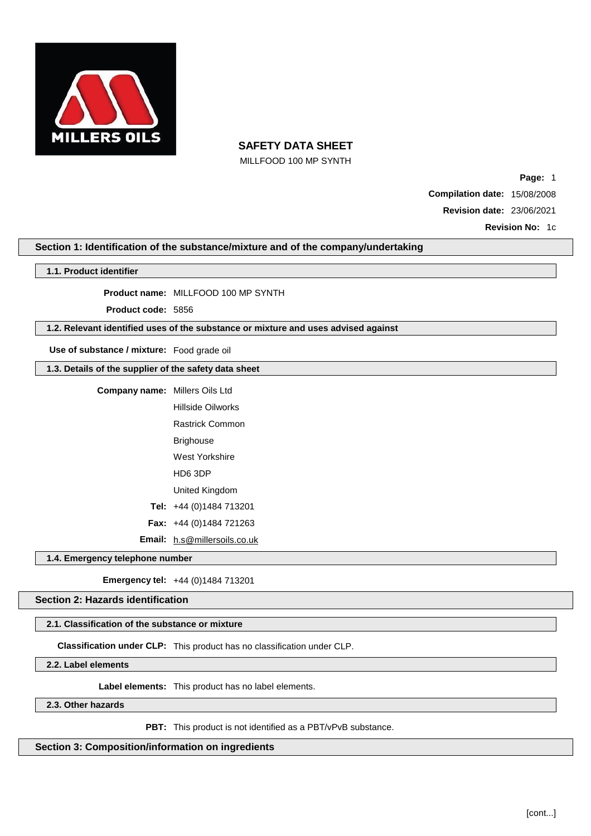

MILLFOOD 100 MP SYNTH

**Page:** 1 **Compilation date:** 15/08/2008 **Revision date:** 23/06/2021

**Revision No:** 1c

### **Section 1: Identification of the substance/mixture and of the company/undertaking**

| 1.1. Product identifier |  |
|-------------------------|--|
|-------------------------|--|

**Product name:** MILLFOOD 100 MP SYNTH

**Product code:** 5856

### **1.2. Relevant identified uses of the substance or mixture and uses advised against**

**Use of substance / mixture:** Food grade oil

**1.3. Details of the supplier of the safety data sheet**

| Company name: | Millers Oils Ltd                    |
|---------------|-------------------------------------|
|               | Hillside Oilworks                   |
|               | <b>Rastrick Common</b>              |
|               | Brighouse                           |
|               | West Yorkshire                      |
|               | HD6 3DP                             |
|               | United Kingdom                      |
|               | Tel: $+44(0)1484713201$             |
|               | <b>Fax:</b> $+44$ (0)1484 721263    |
|               | <b>Email:</b> h.s@millersoils.co.uk |

**1.4. Emergency telephone number**

**Emergency tel:** +44 (0)1484 713201

**Section 2: Hazards identification**

### **2.1. Classification of the substance or mixture**

**Classification under CLP:** This product has no classification under CLP.

**2.2. Label elements**

**Label elements:** This product has no label elements.

**2.3. Other hazards**

**PBT:** This product is not identified as a PBT/vPvB substance.

**Section 3: Composition/information on ingredients**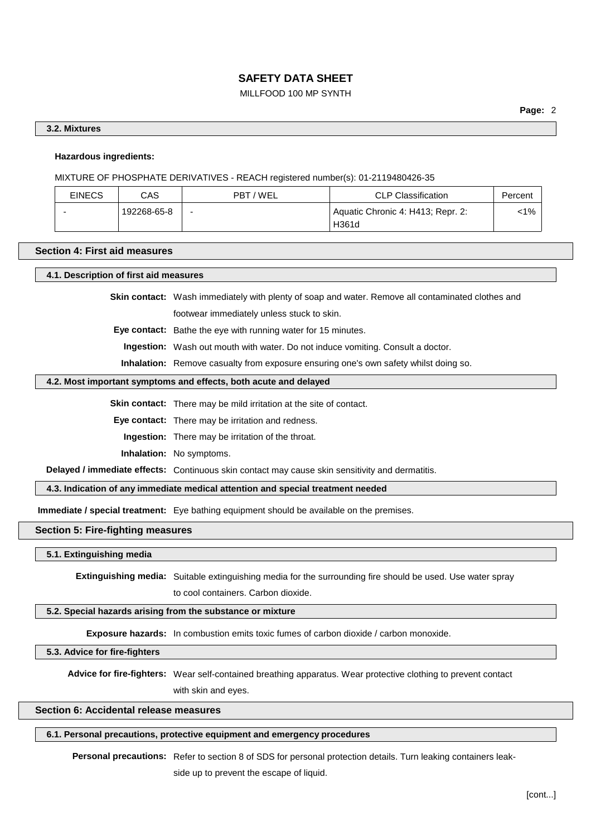## MILLFOOD 100 MP SYNTH

### **3.2. Mixtures**

### **Hazardous ingredients:**

MIXTURE OF PHOSPHATE DERIVATIVES - REACH registered number(s): 01-2119480426-35

| <b>EINECS</b> | CAS         | PBT/WEL                  | <b>CLP Classification</b>                  | Percent |
|---------------|-------------|--------------------------|--------------------------------------------|---------|
|               | 192268-65-8 | $\overline{\phantom{a}}$ | Aquatic Chronic 4: H413; Repr. 2:<br>H361d | <1%     |

#### **Section 4: First aid measures**

**4.1. Description of first aid measures**

**Skin contact:** Wash immediately with plenty of soap and water. Remove all contaminated clothes and footwear immediately unless stuck to skin.

**Eye contact:** Bathe the eye with running water for 15 minutes.

**Ingestion:** Wash out mouth with water. Do not induce vomiting. Consult a doctor.

**Inhalation:** Remove casualty from exposure ensuring one's own safety whilst doing so.

#### **4.2. Most important symptoms and effects, both acute and delayed**

**Skin contact:** There may be mild irritation at the site of contact.

**Eye contact:** There may be irritation and redness.

**Ingestion:** There may be irritation of the throat.

**Inhalation:** No symptoms.

**Delayed / immediate effects:** Continuous skin contact may cause skin sensitivity and dermatitis.

**4.3. Indication of any immediate medical attention and special treatment needed**

**Immediate / special treatment:** Eye bathing equipment should be available on the premises.

### **Section 5: Fire-fighting measures**

**5.1. Extinguishing media**

**Extinguishing media:** Suitable extinguishing media for the surrounding fire should be used. Use water spray to cool containers. Carbon dioxide.

#### **5.2. Special hazards arising from the substance or mixture**

**Exposure hazards:** In combustion emits toxic fumes of carbon dioxide / carbon monoxide.

**5.3. Advice for fire-fighters**

**Advice for fire-fighters:** Wear self-contained breathing apparatus. Wear protective clothing to prevent contact with skin and eyes.

### **Section 6: Accidental release measures**

### **6.1. Personal precautions, protective equipment and emergency procedures**

**Personal precautions:** Refer to section 8 of SDS for personal protection details. Turn leaking containers leak-

side up to prevent the escape of liquid.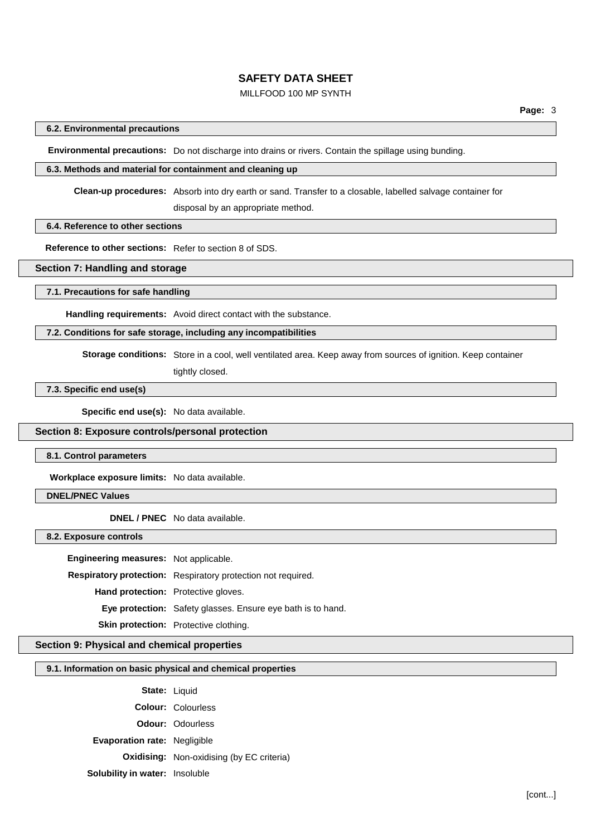### MILLFOOD 100 MP SYNTH

### **6.2. Environmental precautions**

**Environmental precautions:** Do not discharge into drains or rivers. Contain the spillage using bunding.

#### **6.3. Methods and material for containment and cleaning up**

**Clean-up procedures:** Absorb into dry earth or sand. Transfer to a closable, labelled salvage container for

disposal by an appropriate method.

### **6.4. Reference to other sections**

**Reference to other sections:** Refer to section 8 of SDS.

### **Section 7: Handling and storage**

**7.1. Precautions for safe handling**

**Handling requirements:** Avoid direct contact with the substance.

### **7.2. Conditions for safe storage, including any incompatibilities**

**Storage conditions:** Store in a cool, well ventilated area. Keep away from sources of ignition. Keep container

tightly closed.

### **7.3. Specific end use(s)**

**Specific end use(s):** No data available.

#### **Section 8: Exposure controls/personal protection**

#### **8.1. Control parameters**

**Workplace exposure limits:** No data available.

### **DNEL/PNEC Values**

**DNEL / PNEC** No data available.

**8.2. Exposure controls**

**Engineering measures:** Not applicable.

**Respiratory protection:** Respiratory protection not required.

**Hand protection:** Protective gloves.

**Eye protection:** Safety glasses. Ensure eye bath is to hand.

## **Section 9: Physical and chemical properties**

### **9.1. Information on basic physical and chemical properties**

**Skin protection:** Protective clothing.

- State: Liquid
- **Colour:** Colourless
- **Odour:** Odourless
- **Evaporation rate:** Negligible

**Oxidising:** Non-oxidising (by EC criteria)

**Solubility in water:** Insoluble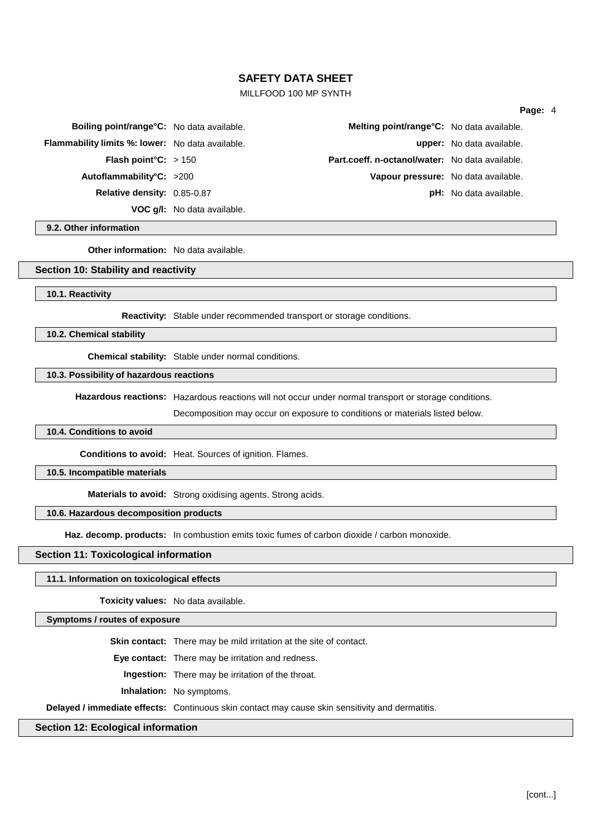### MILLFOOD 100 MP SYNTH

#### **Page:** 4

| Boiling point/range°C: No data available.               |                                    | Melting point/range°C: No data available.       |                               |
|---------------------------------------------------------|------------------------------------|-------------------------------------------------|-------------------------------|
| <b>Flammability limits %: lower:</b> No data available. |                                    |                                                 | upper: No data available.     |
| <b>Flash point °C:</b> $> 150$                          |                                    | Part.coeff. n-octanol/water: No data available. |                               |
| Autoflammability°C: $>200$                              |                                    | Vapour pressure: No data available.             |                               |
| Relative density: 0.85-0.87                             |                                    |                                                 | <b>pH:</b> No data available. |
|                                                         | <b>VOC g/l:</b> No data available. |                                                 |                               |

#### **9.2. Other information**

**Other information:** No data available.

#### **Section 10: Stability and reactivity**

#### **10.1. Reactivity**

**Reactivity:** Stable under recommended transport or storage conditions.

#### **10.2. Chemical stability**

**Chemical stability:** Stable under normal conditions.

#### **10.3. Possibility of hazardous reactions**

**Hazardous reactions:** Hazardous reactions will not occur under normal transport or storage conditions.

Decomposition may occur on exposure to conditions or materials listed below.

#### **10.4. Conditions to avoid**

**Conditions to avoid:** Heat. Sources of ignition. Flames.

### **10.5. Incompatible materials**

**Materials to avoid:** Strong oxidising agents. Strong acids.

#### **10.6. Hazardous decomposition products**

**Haz. decomp. products:** In combustion emits toxic fumes of carbon dioxide / carbon monoxide.

#### **Section 11: Toxicological information**

#### **11.1. Information on toxicological effects**

**Toxicity values:** No data available.

### **Symptoms / routes of exposure**

**Skin contact:** There may be mild irritation at the site of contact.

**Eye contact:** There may be irritation and redness.

**Ingestion:** There may be irritation of the throat.

**Inhalation:** No symptoms.

**Delayed / immediate effects:** Continuous skin contact may cause skin sensitivity and dermatitis.

### **Section 12: Ecological information**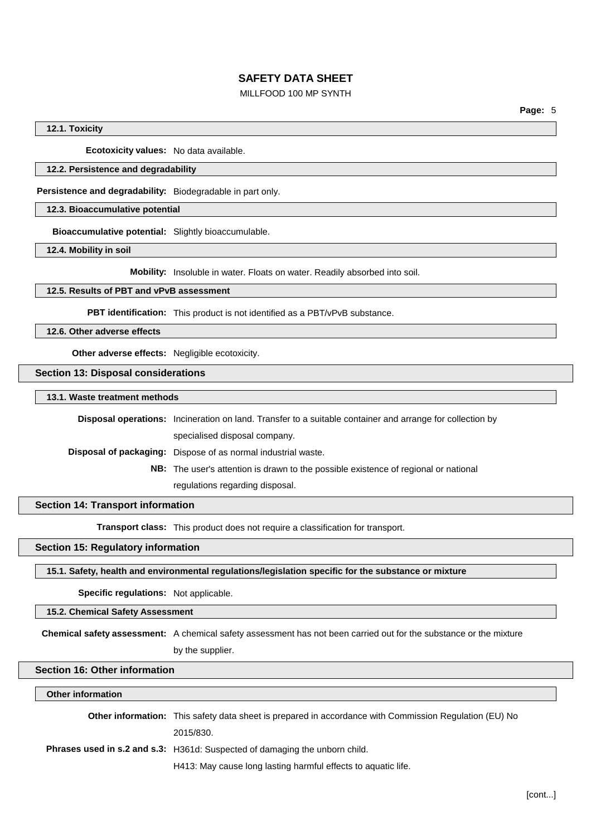### MILLFOOD 100 MP SYNTH

### **12.1. Toxicity**

**Ecotoxicity values:** No data available.

#### **12.2. Persistence and degradability**

**Persistence and degradability:** Biodegradable in part only.

### **12.3. Bioaccumulative potential**

**Bioaccumulative potential:** Slightly bioaccumulable.

**12.4. Mobility in soil**

**Mobility:** Insoluble in water. Floats on water. Readily absorbed into soil.

## **12.5. Results of PBT and vPvB assessment**

**PBT identification:** This product is not identified as a PBT/vPvB substance.

**12.6. Other adverse effects**

**Other adverse effects:** Negligible ecotoxicity.

**Section 13: Disposal considerations**

**13.1. Waste treatment methods**

**Disposal operations:** Incineration on land. Transfer to a suitable container and arrange for collection by specialised disposal company. **Disposal of packaging:** Dispose of as normal industrial waste. **NB:** The user's attention is drawn to the possible existence of regional or national

regulations regarding disposal.

### **Section 14: Transport information**

**Transport class:** This product does not require a classification for transport.

## **Section 15: Regulatory information**

**15.1. Safety, health and environmental regulations/legislation specific for the substance or mixture**

**Specific regulations:** Not applicable.

#### **15.2. Chemical Safety Assessment**

**Chemical safety assessment:** A chemical safety assessment has not been carried out for the substance or the mixture

by the supplier.

## **Section 16: Other information**

#### **Other information**

| <b>Other information:</b> This safety data sheet is prepared in accordance with Commission Regulation (EU) No |
|---------------------------------------------------------------------------------------------------------------|
| 2015/830.                                                                                                     |
| <b>Phrases used in s.2 and s.3:</b> H361d: Suspected of damaging the unborn child.                            |
| H413: May cause long lasting harmful effects to aquatic life.                                                 |